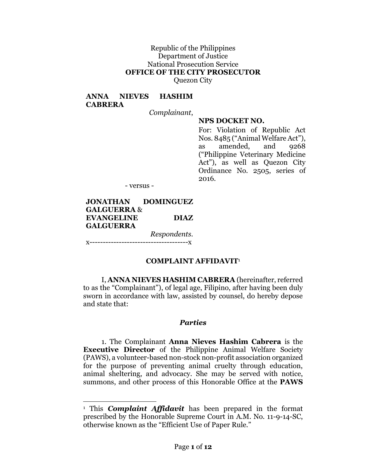#### Republic of the Philippines Department of Justice National Prosecution Service **OFFICE OF THE CITY PROSECUTOR** Quezon City

#### **ANNA NIEVES HASHIM CABRERA**

*Complainant*,

#### **NPS DOCKET NO.**

For: Violation of Republic Act Nos. 8485 ("Animal Welfare Act"), as amended, and 9268 ("Philippine Veterinary Medicine Act"), as well as Quezon City Ordinance No. 2505, series of 2016.

- versus -

#### **JONATHAN DOMINGUEZ GALGUERRA** & **EVANGELINE DIAZ GALGUERRA** *Respondents*.

x-------------------------------------x

l

#### **COMPLAINT AFFIDAVIT**<sup>1</sup>

I, **ANNA NIEVES HASHIM CABRERA** (hereinafter, referred to as the "Complainant"), of legal age, Filipino, after having been duly sworn in accordance with law, assisted by counsel, do hereby depose and state that:

#### *Parties*

1. The Complainant **Anna Nieves Hashim Cabrera** is the **Executive Director** of the Philippine Animal Welfare Society (PAWS), a volunteer-based non-stock non-profit association organized for the purpose of preventing animal cruelty through education, animal sheltering, and advocacy. She may be served with notice, summons, and other process of this Honorable Office at the **PAWS** 

<sup>1</sup> This *Complaint Affidavit* has been prepared in the format prescribed by the Honorable Supreme Court in A.M. No. 11-9-14-SC, otherwise known as the "Efficient Use of Paper Rule."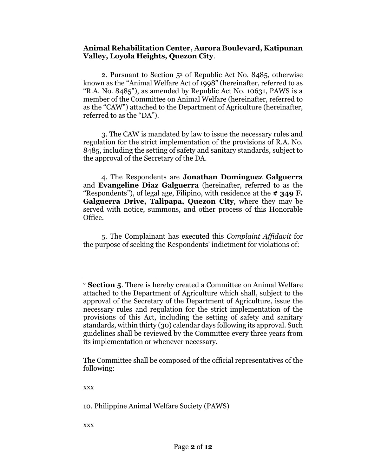#### **Animal Rehabilitation Center, Aurora Boulevard, Katipunan Valley, Loyola Heights, Quezon City**.

2. Pursuant to Section 52 of Republic Act No. 8485, otherwise known as the "Animal Welfare Act of 1998" (hereinafter, referred to as "R.A. No. 8485"), as amended by Republic Act No. 10631, PAWS is a member of the Committee on Animal Welfare (hereinafter, referred to as the "CAW") attached to the Department of Agriculture (hereinafter, referred to as the "DA").

3. The CAW is mandated by law to issue the necessary rules and regulation for the strict implementation of the provisions of R.A. No. 8485, including the setting of safety and sanitary standards, subject to the approval of the Secretary of the DA.

4. The Respondents are **Jonathan Dominguez Galguerra** and **Evangeline Diaz Galguerra** (hereinafter, referred to as the "Respondents"), of legal age, Filipino, with residence at the **# 349 F. Galguerra Drive, Talipapa, Quezon City**, where they may be served with notice, summons, and other process of this Honorable Office.

5. The Complainant has executed this *Complaint Affidavit* for the purpose of seeking the Respondents' indictment for violations of:

xxx

l

10. Philippine Animal Welfare Society (PAWS)

xxx

<sup>2</sup> **Section 5**. There is hereby created a Committee on Animal Welfare attached to the Department of Agriculture which shall, subject to the approval of the Secretary of the Department of Agriculture, issue the necessary rules and regulation for the strict implementation of the provisions of this Act, including the setting of safety and sanitary standards, within thirty (30) calendar days following its approval. Such guidelines shall be reviewed by the Committee every three years from its implementation or whenever necessary.

The Committee shall be composed of the official representatives of the following: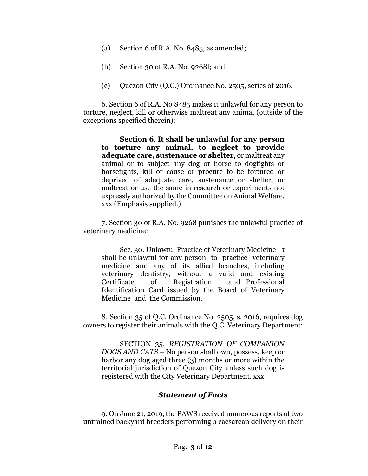- (a) Section 6 of R.A. No. 8485, as amended;
- (b) Section 30 of R.A. No. 9268l; and
- (c) Quezon City (Q.C.) Ordinance No. 2505, series of 2016.

6. Section 6 of R.A. No 8485 makes it unlawful for any person to torture, neglect, kill or otherwise maltreat any animal (outside of the exceptions specified therein):

**Section 6**. **It shall be unlawful for any person to torture any animal, to neglect to provide adequate care, sustenance or shelter**, or maltreat any animal or to subject any dog or horse to dogfights or horsefights, kill or cause or procure to be tortured or deprived of adequate care, sustenance or shelter, or maltreat or use the same in research or experiments not expressly authorized by the Committee on Animal Welfare. xxx (Emphasis supplied.)

7. Section 30 of R.A. No. 9268 punishes the unlawful practice of veterinary medicine:

Sec. 30. Unlawful Practice of Veterinary Medicine - t shall be unlawful for any person to practice veterinary medicine and any of its allied branches, including veterinary dentistry, without a valid and existing Certificate of Registration and Professional Identification Card issued by the Board of Veterinary Medicine and the Commission.

8. Section 35 of Q.C. Ordinance No. 2505, s. 2016, requires dog owners to register their animals with the Q.C. Veterinary Department:

SECTION 35. *REGISTRATION OF COMPANION DOGS AND CATS* – No person shall own, possess, keep or harbor any dog aged three (3) months or more within the territorial jurisdiction of Quezon City unless such dog is registered with the City Veterinary Department. xxx

#### *Statement of Facts*

9. On June 21, 2019, the PAWS received numerous reports of two untrained backyard breeders performing a caesarean delivery on their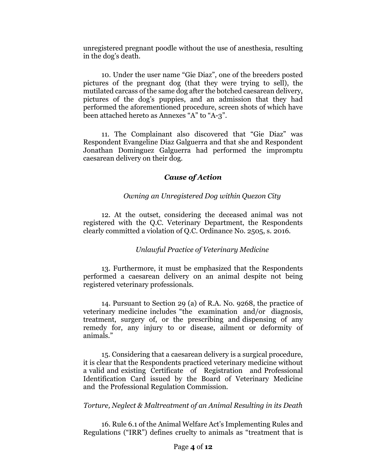unregistered pregnant poodle without the use of anesthesia, resulting in the dog's death.

10. Under the user name "Gie Diaz", one of the breeders posted pictures of the pregnant dog (that they were trying to sell), the mutilated carcass of the same dog after the botched caesarean delivery, pictures of the dog's puppies, and an admission that they had performed the aforementioned procedure, screen shots of which have been attached hereto as Annexes "A" to "A-3".

11. The Complainant also discovered that "Gie Diaz" was Respondent Evangeline Diaz Galguerra and that she and Respondent Jonathan Dominguez Galguerra had performed the impromptu caesarean delivery on their dog.

#### *Cause of Action*

#### *Owning an Unregistered Dog within Quezon City*

12. At the outset, considering the deceased animal was not registered with the Q.C. Veterinary Department, the Respondents clearly committed a violation of Q.C. Ordinance No. 2505, s. 2016.

#### *Unlawful Practice of Veterinary Medicine*

13. Furthermore, it must be emphasized that the Respondents performed a caesarean delivery on an animal despite not being registered veterinary professionals.

14. Pursuant to Section 29 (a) of R.A. No. 9268, the practice of veterinary medicine includes "the examination and/or diagnosis, treatment, surgery of, or the prescribing and dispensing of any remedy for, any injury to or disease, ailment or deformity of animals."

15. Considering that a caesarean delivery is a surgical procedure, it is clear that the Respondents practiced veterinary medicine without a valid and existing Certificate of Registration and Professional Identification Card issued by the Board of Veterinary Medicine and the Professional Regulation Commission.

#### *Torture, Neglect & Maltreatment of an Animal Resulting in its Death*

16. Rule 6.1 of the Animal Welfare Act's Implementing Rules and Regulations ("IRR") defines cruelty to animals as "treatment that is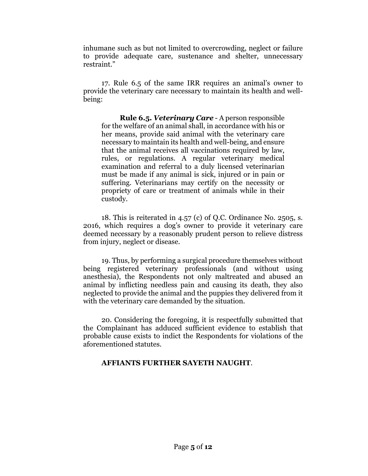inhumane such as but not limited to overcrowding, neglect or failure to provide adequate care, sustenance and shelter, unnecessary restraint."

17. Rule 6.5 of the same IRR requires an animal's owner to provide the veterinary care necessary to maintain its health and wellbeing:

**Rule 6.5.** *Veterinary Care* - A person responsible for the welfare of an animal shall, in accordance with his or her means, provide said animal with the veterinary care necessary to maintain its health and well-being, and ensure that the animal receives all vaccinations required by law, rules, or regulations. A regular veterinary medical examination and referral to a duly licensed veterinarian must be made if any animal is sick, injured or in pain or suffering. Veterinarians may certify on the necessity or propriety of care or treatment of animals while in their custody.

18. This is reiterated in 4.57 (c) of Q.C. Ordinance No. 2505, s. 2016, which requires a dog's owner to provide it veterinary care deemed necessary by a reasonably prudent person to relieve distress from injury, neglect or disease.

19. Thus, by performing a surgical procedure themselves without being registered veterinary professionals (and without using anesthesia), the Respondents not only maltreated and abused an animal by inflicting needless pain and causing its death, they also neglected to provide the animal and the puppies they delivered from it with the veterinary care demanded by the situation.

20. Considering the foregoing, it is respectfully submitted that the Complainant has adduced sufficient evidence to establish that probable cause exists to indict the Respondents for violations of the aforementioned statutes.

#### **AFFIANTS FURTHER SAYETH NAUGHT**.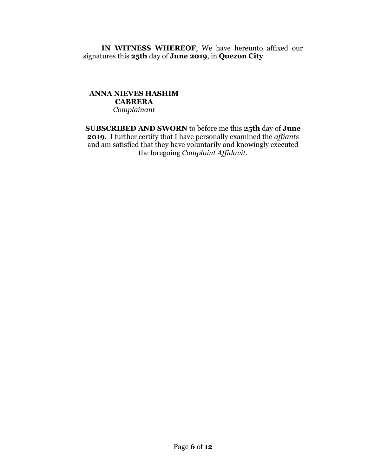**IN WITNESS WHEREOF**, We have hereunto affixed our signatures this **25th** day of **June 2019**, in **Quezon City**.

#### **ANNA NIEVES HASHIM CABRERA** *Complainant*

**SUBSCRIBED AND SWORN** to before me this **25th** day of **June 2019**. I further certify that I have personally examined the *affiants* and am satisfied that they have voluntarily and knowingly executed the foregoing *Complaint Affidavit*.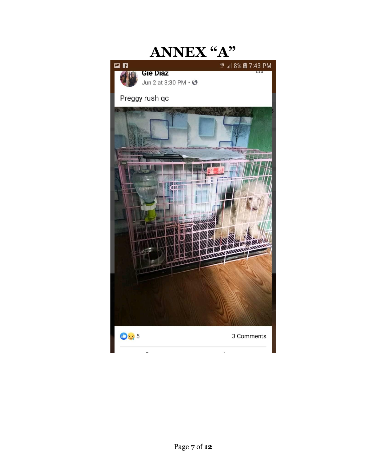# **ANNEX "A"**国目 **GIE DIAZ** Jun 2 at 3:30 PM  $\cdot$   $\odot$ Preggy rush qc **The Co**  $\mathbf{H}$ 085 3 Comments 'n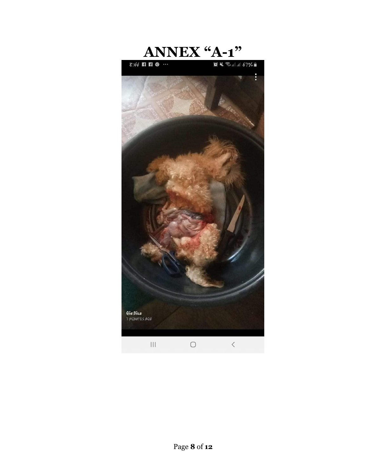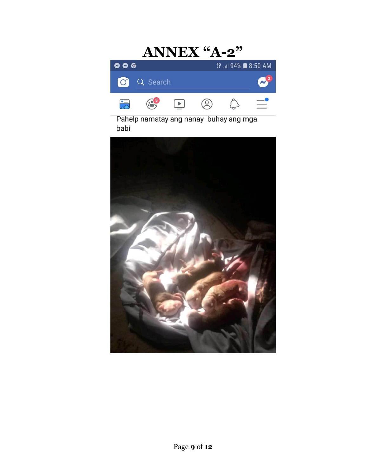#### **ANNEX "A-2"**<br>  $\frac{45 \text{ m} \cdot 94\% \text{ m} \cdot 50 \text{ AM}}{244 \text{ m} \cdot 94\% \text{ m} \cdot 50 \text{ AM}}$  $\circ \circ \circ$ Q Search  $\bullet$  $\bigodot^5$  $\circledcirc$  $\hat{\varphi}$  $\mathbb{Z}$  $\begin{tabular}{|c|c|} \hline \quad \quad & \quad \quad & \quad \quad \\ \hline \quad \quad & \quad \quad & \quad \quad \\ \hline \quad \quad & \quad \quad & \quad \quad \\ \hline \end{tabular}$

Pahelp namatay ang nanay buhay ang mga babi

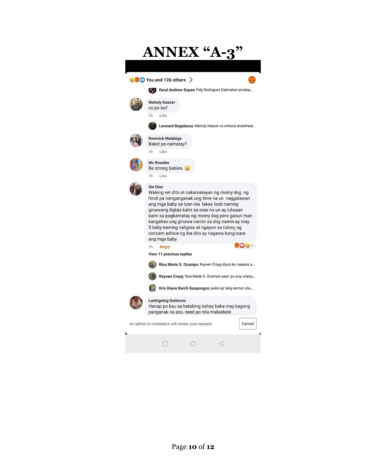| <b>ANNEX "A-</b>                                          |                                                                                                                                                                                                                                                                                                                                                                                                                                           |
|-----------------------------------------------------------|-------------------------------------------------------------------------------------------------------------------------------------------------------------------------------------------------------------------------------------------------------------------------------------------------------------------------------------------------------------------------------------------------------------------------------------------|
| $\bullet$ 30 You and 126 others $\rightarrow$             |                                                                                                                                                                                                                                                                                                                                                                                                                                           |
|                                                           | Daryl Andrew Supan Fely Rodriguez Gatmaitan pinatay                                                                                                                                                                                                                                                                                                                                                                                       |
|                                                           | <b>Melody Kaezer</b><br>cs po ba?                                                                                                                                                                                                                                                                                                                                                                                                         |
|                                                           | 3h<br>Like                                                                                                                                                                                                                                                                                                                                                                                                                                |
|                                                           | Leonard Bagalacsa Melody Kaezer cs without anesthesi                                                                                                                                                                                                                                                                                                                                                                                      |
|                                                           | <b>Romnick Malabiga</b><br>Baket po namatay?                                                                                                                                                                                                                                                                                                                                                                                              |
|                                                           | 3h<br>Like                                                                                                                                                                                                                                                                                                                                                                                                                                |
|                                                           | <b>Mc Rosales</b><br>Be strong babies.                                                                                                                                                                                                                                                                                                                                                                                                    |
|                                                           | 3h<br>Like                                                                                                                                                                                                                                                                                                                                                                                                                                |
|                                                           | <b>Gie Diaz</b><br>Walang vet dito at nakamatayan ng momy dog ng<br>hindi pa nanganganak ung time na un naggalawan<br>ang mga baby sa tyan nia lakas loob naming<br>ginawang iligtas kahit sa oras na un ay luhaaan<br>kami sa pagkamatay ng momy dog pero ganun man<br>kangahas ung ginawa namin sa dog namin ay may<br>5 baby kaming naligtas at ngayon sa tulong ng<br>concern advice ng iba dito ay nagawa kong icare<br>ang mga baby |
|                                                           | $\bigcirc$ $\bigcirc$ $\bigcirc$ 27<br>3h <b>Angry</b>                                                                                                                                                                                                                                                                                                                                                                                    |
|                                                           | View 11 previous replies                                                                                                                                                                                                                                                                                                                                                                                                                  |
|                                                           | Rica Marie S. Ocampo Rayven Crayg diyos ko naaawa a                                                                                                                                                                                                                                                                                                                                                                                       |
|                                                           | Rayven Crayg Rica Marie S. Ocampo asan po ung unang                                                                                                                                                                                                                                                                                                                                                                                       |
|                                                           | Kris Diane Barril-Sunpongco jusko qc lang naman pla,                                                                                                                                                                                                                                                                                                                                                                                      |
|                                                           | <b>Luningning Gutierrez</b><br>Hanap po kau sa katabing bahay baka may bagong<br>panganak na aso, need po nila makadede                                                                                                                                                                                                                                                                                                                   |
| Cancel<br>An admin or moderator will review your request. |                                                                                                                                                                                                                                                                                                                                                                                                                                           |
|                                                           |                                                                                                                                                                                                                                                                                                                                                                                                                                           |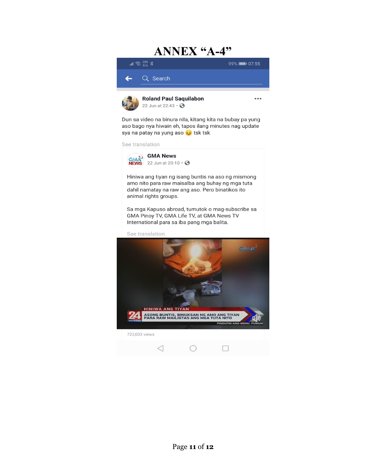### **ANNEX "A-4"**



Dun sa video na binura nila, kitang kita na bubay pa yung aso bago nya hiwain eh, tapos ilang minutes nag update sya na patay na yung aso sa tsk tsk

See translation



Hiniwa ang tiyan ng isang buntis na aso ng mismong amo nito para raw maisalba ang buhay ng mga tuta dahil namatay na raw ang aso. Pero binatikos ito animal rights groups.

Sa mga Kapuso abroad, tumutok o mag-subscribe sa GMA Pinoy TV, GMA Life TV, at GMA News TV International para sa iba pang mga balita.

See translation